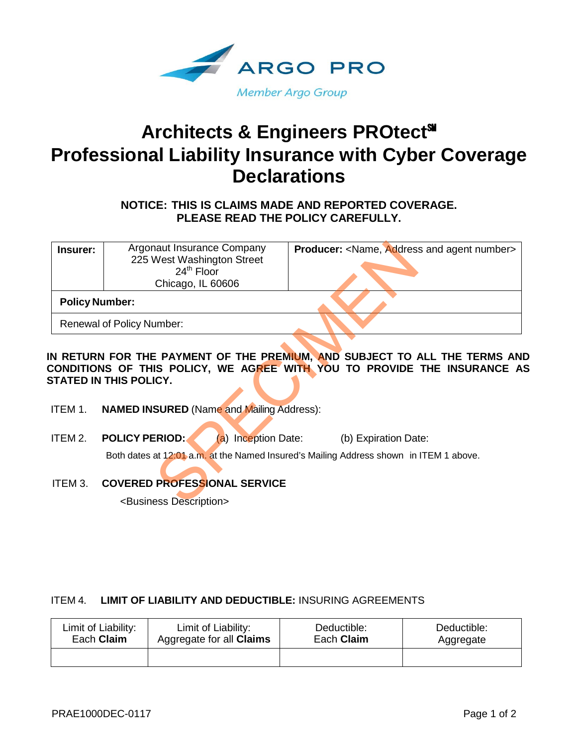

# **Architects & Engineers PROtect**℠ **Professional Liability Insurance with Cyber Coverage Declarations**

**NOTICE: THIS IS CLAIMS MADE AND REPORTED COVERAGE. PLEASE READ THE POLICY CAREFULLY.**

| Insurer: | Argonaut Insurance Company<br>225 West Washington Street<br>$24th$ Floor<br>Chicago, IL 60606 | <b>Producer:</b> <name, address="" agent="" and="" number=""></name,>                                                                                          |
|----------|-----------------------------------------------------------------------------------------------|----------------------------------------------------------------------------------------------------------------------------------------------------------------|
|          | <b>Policy Number:</b>                                                                         |                                                                                                                                                                |
|          | Renewal of Policy Number:                                                                     |                                                                                                                                                                |
|          | STATED IN THIS POLICY.                                                                        | IN RETURN FOR THE PAYMENT OF THE P <u>REMIUM, AND</u> SUBJECT TO ALL THE TERMS ANI<br>CONDITIONS OF THIS POLICY, WE AGREE WITH YOU TO PROVIDE THE INSURANCE A! |
| ITEM 1.  | <b>NAMED INSURED (Name and Mailing Address):</b>                                              |                                                                                                                                                                |
| ITEM 2.  | <b>POLICY PERIOD:</b><br>(a) Inception Date:                                                  | (b) Expiration Date:                                                                                                                                           |
|          |                                                                                               | Both dates at 12:01 a.m. at the Named Insured's Mailing Address shown in ITEM 1 above.                                                                         |
| ITEM 3.  | <b>COVERED PROFESSIONAL SERVICE</b>                                                           |                                                                                                                                                                |
|          | <business description=""></business>                                                          |                                                                                                                                                                |

- ITEM 1. **NAMED INSURED** (Name and Mailing Address):
- ITEM 2. **POLICY PERIOD:** (a) Inception Date: (b) Expiration Date: Both dates at 12:01 a.m. at the Named Insured's Mailing Address shown in ITEM 1 above.
- ITEM 3. **COVERED PROFESSIONAL SERVICE**

<Business Description>

# ITEM 4. **LIMIT OF LIABILITY AND DEDUCTIBLE:** INSURING AGREEMENTS

| Limit of Liability: | Limit of Liability:             | Deductible: | Deductible: |
|---------------------|---------------------------------|-------------|-------------|
| Each <b>Claim</b>   | Aggregate for all <b>Claims</b> | Each Claim  | Aggregate   |
|                     |                                 |             |             |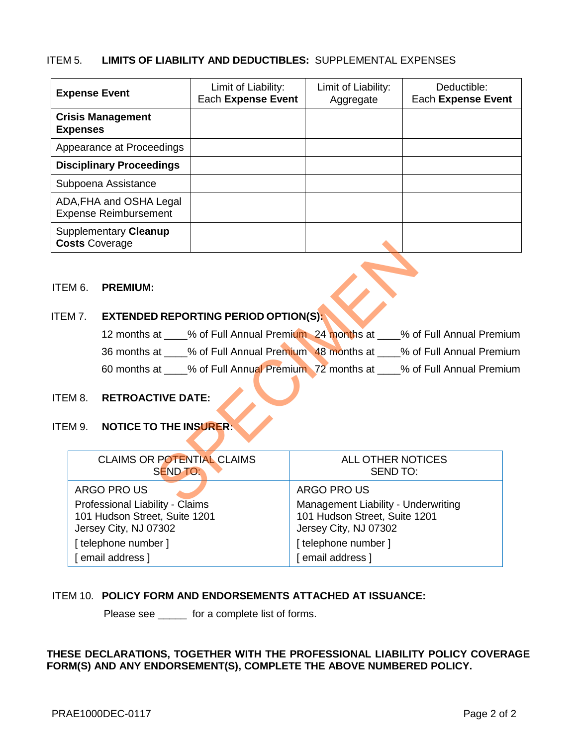# ITEM 5. **LIMITS OF LIABILITY AND DEDUCTIBLES:** SUPPLEMENTAL EXPENSES

| <b>Expense Event</b>                                    | Limit of Liability:<br>Each Expense Event | Limit of Liability:<br>Aggregate | Deductible:<br>Each Expense Event |
|---------------------------------------------------------|-------------------------------------------|----------------------------------|-----------------------------------|
| <b>Crisis Management</b><br><b>Expenses</b>             |                                           |                                  |                                   |
| Appearance at Proceedings                               |                                           |                                  |                                   |
| <b>Disciplinary Proceedings</b>                         |                                           |                                  |                                   |
| Subpoena Assistance                                     |                                           |                                  |                                   |
| ADA, FHA and OSHA Legal<br><b>Expense Reimbursement</b> |                                           |                                  |                                   |
| Supplementary Cleanup<br><b>Costs Coverage</b>          |                                           |                                  |                                   |

#### ITEM 6. **PREMIUM:**

# ITEM 7. **EXTENDED REPORTING PERIOD OPTION(S):**

| 12 months at | % of Full Annual Premium 24 months at | % of Full Annual Premium |
|--------------|---------------------------------------|--------------------------|
| 36 months at | % of Full Annual Premium 48 months at | % of Full Annual Premium |
| 60 months at | % of Full Annual Premium 72 months at | % of Full Annual Premium |

# ITEM 8. **RETROACTIVE DATE:**

## ITEM 9. **NOTICE TO THE INSURER:**

| sts Coverage                                                                              |                                                           |                                                                                               |                    |                                             |                                                                                   |
|-------------------------------------------------------------------------------------------|-----------------------------------------------------------|-----------------------------------------------------------------------------------------------|--------------------|---------------------------------------------|-----------------------------------------------------------------------------------|
| M 6.                                                                                      | <b>PREMIUM:</b>                                           |                                                                                               |                    |                                             |                                                                                   |
| M 7.                                                                                      |                                                           | <b>EXTENDED REPORTING PERIOD OPTION(S):</b>                                                   |                    |                                             |                                                                                   |
|                                                                                           |                                                           |                                                                                               |                    |                                             | 12 months at ____% of Full Annual Premium 24 months at ____% of Full Annual Premi |
|                                                                                           |                                                           |                                                                                               |                    |                                             | 36 months at ____% of Full Annual Premium 48 months at ____% of Full Annual Premi |
|                                                                                           |                                                           |                                                                                               |                    |                                             | 60 months at ____% of Full Annual Premium 72 months at ____% of Full Annual Premi |
| M 8.<br>M 9.                                                                              | <b>RETROACTIVE DATE:</b><br><b>NOTICE TO THE INSURER:</b> |                                                                                               |                    |                                             |                                                                                   |
|                                                                                           | <b>CLAIMS OR POTENTIAL CLAIMS</b><br>SEND TO:             |                                                                                               |                    | <b>ALL OTHER NOTICES</b><br><b>SEND TO:</b> |                                                                                   |
|                                                                                           | ARGO PRO US                                               |                                                                                               |                    | ARGO PRO US                                 |                                                                                   |
| Professional Liability - Claims<br>101 Hudson Street, Suite 1201<br>Jersey City, NJ 07302 |                                                           | Management Liability - Underwriting<br>101 Hudson Street, Suite 1201<br>Jersey City, NJ 07302 |                    |                                             |                                                                                   |
| [telephone number]                                                                        |                                                           |                                                                                               | [telephone number] |                                             |                                                                                   |
| [ email address ]                                                                         |                                                           |                                                                                               | [ email address ]  |                                             |                                                                                   |

# ITEM 10. **POLICY FORM AND ENDORSEMENTS ATTACHED AT ISSUANCE:**

Please see \_\_\_\_\_ for a complete list of forms.

# **THESE DECLARATIONS, TOGETHER WITH THE PROFESSIONAL LIABILITY POLICY COVERAGE FORM(S) AND ANY ENDORSEMENT(S), COMPLETE THE ABOVE NUMBERED POLICY.**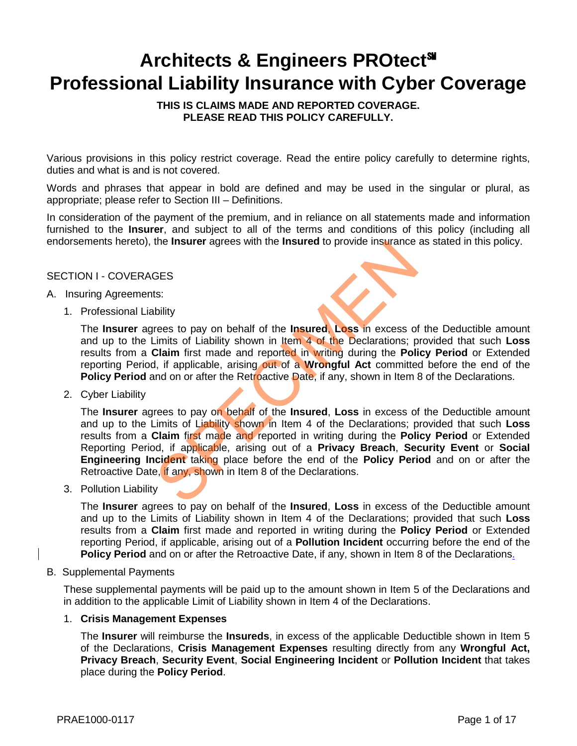# **Architects & Engineers PROtect**℠ **Professional Liability Insurance with Cyber Coverage**

**THIS IS CLAIMS MADE AND REPORTED COVERAGE. PLEASE READ THIS POLICY CAREFULLY.**

Various provisions in this policy restrict coverage. Read the entire policy carefully to determine rights, duties and what is and is not covered.

Words and phrases that appear in bold are defined and may be used in the singular or plural, as appropriate; please refer to Section III – Definitions.

In consideration of the payment of the premium, and in reliance on all statements made and information furnished to the **Insurer**, and subject to all of the terms and conditions of this policy (including all endorsements hereto), the **Insurer** agrees with the **Insured** to provide insurance as stated in this policy.

## SECTION I - COVERAGES

#### A. Insuring Agreements:

1. Professional Liability

The **Insurer** agrees to pay on behalf of the **Insured**, **Loss** in excess of the Deductible amount and up to the Limits of Liability shown in Item 4 of the Declarations; provided that such **Loss** results from a **Claim** first made and reported in writing during the **Policy Period** or Extended reporting Period, if applicable, arising out of a **Wrongful Act** committed before the end of the **Policy Period** and on or after the Retroactive Date, if any, shown in Item 8 of the Declarations.

2. Cyber Liability

The **Insurer** agrees to pay on behalf of the **Insured**, **Loss** in excess of the Deductible amount and up to the Limits of Liability shown in Item 4 of the Declarations; provided that such **Loss** results from a **Claim** first made and reported in writing during the **Policy Period** or Extended Reporting Period, if applicable, arising out of a **Privacy Breach**, **Security Event** or **Social Engineering Incident** taking place before the end of the **Policy Period** and on or after the Retroactive Date, if any, shown in Item 8 of the Declarations. SPECIMEN

3. Pollution Liability

The **Insurer** agrees to pay on behalf of the **Insured**, **Loss** in excess of the Deductible amount and up to the Limits of Liability shown in Item 4 of the Declarations; provided that such **Loss** results from a **Claim** first made and reported in writing during the **Policy Period** or Extended reporting Period, if applicable, arising out of a **Pollution Incident** occurring before the end of the **Policy Period** and on or after the Retroactive Date, if any, shown in Item 8 of the Declarations.

#### B. Supplemental Payments

These supplemental payments will be paid up to the amount shown in Item 5 of the Declarations and in addition to the applicable Limit of Liability shown in Item 4 of the Declarations.

#### 1. **Crisis Management Expenses**

The **Insurer** will reimburse the **Insureds**, in excess of the applicable Deductible shown in Item 5 of the Declarations, **Crisis Management Expenses** resulting directly from any **Wrongful Act, Privacy Breach**, **Security Event**, **Social Engineering Incident** or **Pollution Incident** that takes place during the **Policy Period**.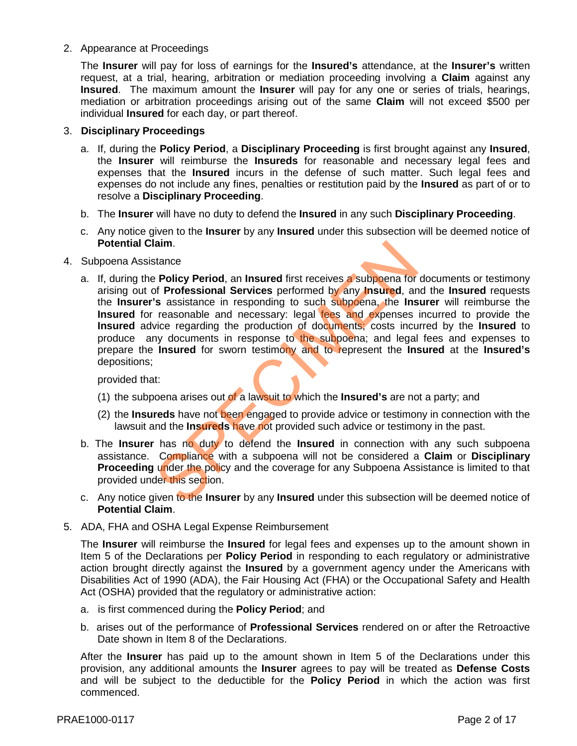## 2. Appearance at Proceedings

The **Insurer** will pay for loss of earnings for the **Insured's** attendance, at the **Insurer's** written request, at a trial, hearing, arbitration or mediation proceeding involving a **Claim** against any **Insured**. The maximum amount the **Insurer** will pay for any one or series of trials, hearings, mediation or arbitration proceedings arising out of the same **Claim** will not exceed \$500 per individual **Insured** for each day, or part thereof.

## 3. **Disciplinary Proceedings**

- a. If, during the **Policy Period**, a **Disciplinary Proceeding** is first brought against any **Insured**, the **Insurer** will reimburse the **Insureds** for reasonable and necessary legal fees and expenses that the **Insured** incurs in the defense of such matter. Such legal fees and expenses do not include any fines, penalties or restitution paid by the **Insured** as part of or to resolve a **Disciplinary Proceeding**.
- b. The **Insurer** will have no duty to defend the **Insured** in any such **Disciplinary Proceeding**.
- c. Any notice given to the **Insurer** by any **Insured** under this subsection will be deemed notice of **Potential Claim**.
- 4. Subpoena Assistance
- a. If, during the **Policy Period**, an **Insured** first receives a subpoena for documents or testimony arising out of **Professional Services** performed by any **Insured**, and the **Insured** requests the **Insurer's** assistance in responding to such subpoena, the **Insurer** will reimburse the **Insured** for reasonable and necessary: legal fees and expenses incurred to provide the **Insured** advice regarding the production of documents; costs incurred by the **Insured** to produce any documents in response to the subpoena; and legal fees and expenses to prepare the **Insured** for sworn testimony and to represent the **Insured** at the **Insured's** depositions; aim.<br>
stance<br>
Policy Period, an Insured first receives a subpoena for<br>
Society Period, an Insured first receives a subpoena for<br>
Societistance in responding to such subpoena, the Ins<br>
reasonable and necessary: legal tees a

provided that:

- (1) the subpoena arises out of a lawsuit to which the **Insured's** are not a party; and
- (2) the **Insureds** have not been engaged to provide advice or testimony in connection with the lawsuit and the **Insureds** have not provided such advice or testimony in the past.
- b. The **Insurer** has no duty to defend the **Insured** in connection with any such subpoena assistance. Compliance with a subpoena will not be considered a **Claim** or **Disciplinary Proceeding** under the policy and the coverage for any Subpoena Assistance is limited to that provided under this section.
- c. Any notice given to the **Insurer** by any **Insured** under this subsection will be deemed notice of **Potential Claim**.
- 5. ADA, FHA and OSHA Legal Expense Reimbursement

The **Insurer** will reimburse the **Insured** for legal fees and expenses up to the amount shown in Item 5 of the Declarations per **Policy Period** in responding to each regulatory or administrative action brought directly against the **Insured** by a government agency under the Americans with Disabilities Act of 1990 (ADA), the Fair Housing Act (FHA) or the Occupational Safety and Health Act (OSHA) provided that the regulatory or administrative action:

- a. is first commenced during the **Policy Period**; and
- b. arises out of the performance of **Professional Services** rendered on or after the Retroactive Date shown in Item 8 of the Declarations.

After the **Insurer** has paid up to the amount shown in Item 5 of the Declarations under this provision, any additional amounts the **Insurer** agrees to pay will be treated as **Defense Costs** and will be subject to the deductible for the **Policy Period** in which the action was first commenced.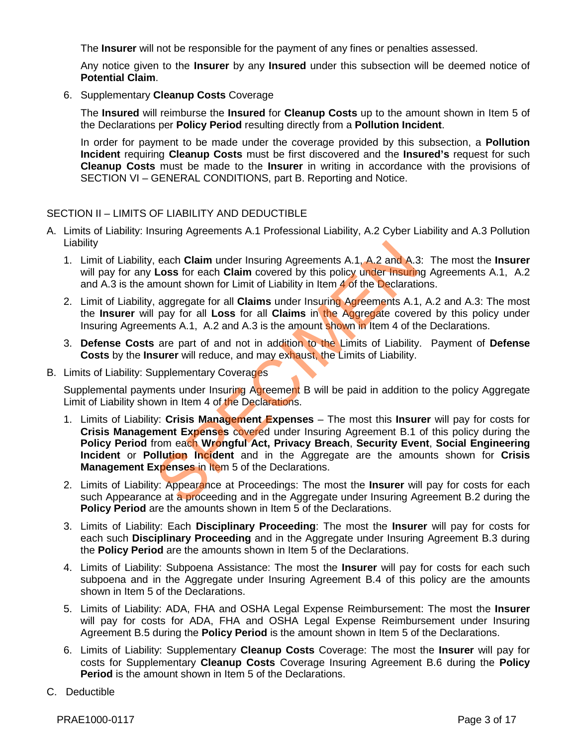The **Insurer** will not be responsible for the payment of any fines or penalties assessed.

Any notice given to the **Insurer** by any **Insured** under this subsection will be deemed notice of **Potential Claim**.

6. Supplementary **Cleanup Costs** Coverage

The **Insured** will reimburse the **Insured** for **Cleanup Costs** up to the amount shown in Item 5 of the Declarations per **Policy Period** resulting directly from a **Pollution Incident**.

In order for payment to be made under the coverage provided by this subsection, a **Pollution Incident** requiring **Cleanup Costs** must be first discovered and the **Insured's** request for such **Cleanup Costs** must be made to the **Insurer** in writing in accordance with the provisions of SECTION VI – GENERAL CONDITIONS, part B. Reporting and Notice.

## SECTION II – LIMITS OF LIABILITY AND DEDUCTIBLE

- A. Limits of Liability: Insuring Agreements A.1 Professional Liability, A.2 Cyber Liability and A.3 Pollution Liability
	- 1. Limit of Liability, each **Claim** under Insuring Agreements A.1, A.2 and A.3: The most the **Insurer** will pay for any **Loss** for each **Claim** covered by this policy under Insuring Agreements A.1, A.2 and A.3 is the amount shown for Limit of Liability in Item  $\overline{4}$  of the Declarations.
	- 2. Limit of Liability, aggregate for all **Claims** under Insuring Agreements A.1, A.2 and A.3: The most the **Insurer** will pay for all **Loss** for all **Claims** in the Aggregate covered by this policy under Insuring Agreements A.1, A.2 and A.3 is the amount shown in Item 4 of the Declarations.
	- 3. **Defense Costs** are part of and not in addition to the Limits of Liability. Payment of **Defense Costs** by the **Insurer** will reduce, and may exhaust, the Limits of Liability.
- B. Limits of Liability: Supplementary Coverages

Supplemental payments under Insuring Agreement B will be paid in addition to the policy Aggregate Limit of Liability shown in Item 4 of the Declarations.

- 1. Limits of Liability: **Crisis Management Expenses** The most this **Insurer** will pay for costs for **Crisis Management Expenses** covered under Insuring Agreement B.1 of this policy during the **Policy Period** from each **Wrongful Act, Privacy Breach**, **Security Event**, **Social Engineering Incident** or **Pollution Incident** and in the Aggregate are the amounts shown for **Crisis Management Expenses in Item 5 of the Declarations.** each Claim under Insuring Agreements A.1, A.2 and A.3<br>
Loss for each Claim covered by this policy under Insuring<br>
mount shown for Limit of Liability in Item 4 of the Declaratic<br>
aggregate for all Claims under Insuring Agr
- 2. Limits of Liability: Appearance at Proceedings: The most the **Insurer** will pay for costs for each such Appearance at a proceeding and in the Aggregate under Insuring Agreement B.2 during the **Policy Period** are the amounts shown in Item 5 of the Declarations.
- 3. Limits of Liability: Each **Disciplinary Proceeding**: The most the **Insurer** will pay for costs for each such **Disciplinary Proceeding** and in the Aggregate under Insuring Agreement B.3 during the **Policy Period** are the amounts shown in Item 5 of the Declarations.
- 4. Limits of Liability: Subpoena Assistance: The most the **Insurer** will pay for costs for each such subpoena and in the Aggregate under Insuring Agreement B.4 of this policy are the amounts shown in Item 5 of the Declarations.
- 5. Limits of Liability: ADA, FHA and OSHA Legal Expense Reimbursement: The most the **Insurer** will pay for costs for ADA, FHA and OSHA Legal Expense Reimbursement under Insuring Agreement B.5 during the **Policy Period** is the amount shown in Item 5 of the Declarations.
- 6. Limits of Liability: Supplementary **Cleanup Costs** Coverage: The most the **Insurer** will pay for costs for Supplementary **Cleanup Costs** Coverage Insuring Agreement B.6 during the **Policy Period** is the amount shown in Item 5 of the Declarations.
- C. Deductible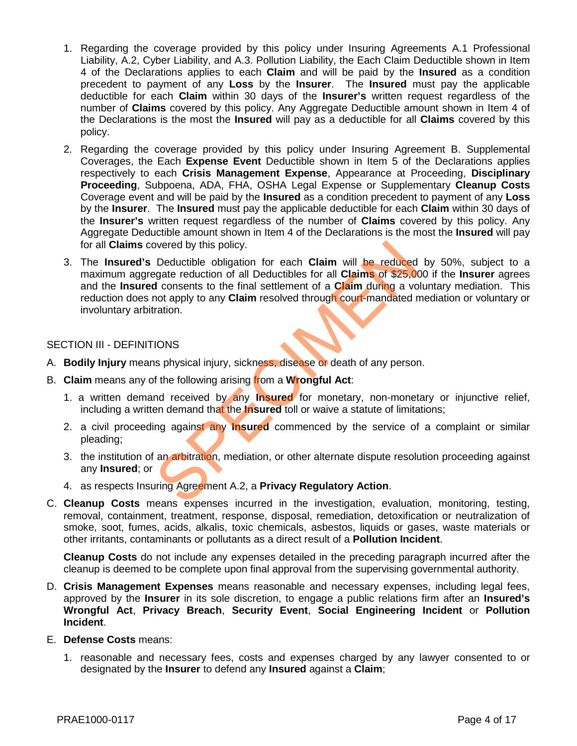- 1. Regarding the coverage provided by this policy under Insuring Agreements A.1 Professional Liability, A.2, Cyber Liability, and A.3. Pollution Liability, the Each Claim Deductible shown in Item 4 of the Declarations applies to each **Claim** and will be paid by the **Insured** as a condition precedent to payment of any **Loss** by the **Insurer**. The **Insured** must pay the applicable deductible for each **Claim** within 30 days of the **Insurer's** written request regardless of the number of **Claims** covered by this policy. Any Aggregate Deductible amount shown in Item 4 of the Declarations is the most the **Insured** will pay as a deductible for all **Claims** covered by this policy.
- 2. Regarding the coverage provided by this policy under Insuring Agreement B. Supplemental Coverages, the Each **Expense Event** Deductible shown in Item 5 of the Declarations applies respectively to each **Crisis Management Expense**, Appearance at Proceeding, **Disciplinary Proceeding**, Subpoena, ADA, FHA, OSHA Legal Expense or Supplementary **Cleanup Costs**  Coverage event and will be paid by the **Insured** as a condition precedent to payment of any **Loss** by the **Insurer**. The **Insured** must pay the applicable deductible for each **Claim** within 30 days of the **Insurer's** written request regardless of the number of **Claims** covered by this policy. Any Aggregate Deductible amount shown in Item 4 of the Declarations is the most the **Insured** will pay for all **Claims** covered by this policy.
- 3. The **Insured's** Deductible obligation for each **Claim** will be reduced by 50%, subject to a maximum aggregate reduction of all Deductibles for all **Claims** of \$25,000 if the **Insurer** agrees and the **Insured** consents to the final settlement of a **Claim** during a voluntary mediation. This reduction does not apply to any **Claim** resolved through court-mandated mediation or voluntary or involuntary arbitration. overed by this policy.<br>
Deductible obligation for each Claim will be reduced<br>
gate reduction of all Deductibles for all Claims of \$25,00<br>
d consents to the final settlement of a Claim during a vo<br>
not apply to any Claim re

## SECTION III - DEFINITIONS

- A. **Bodily Injury** means physical injury, sickness, disease or death of any person.
- B. **Claim** means any of the following arising from a **Wrongful Act**:
	- 1. a written demand received by any **Insured** for monetary, non-monetary or injunctive relief, including a written demand that the **Insured** toll or waive a statute of limitations;
	- 2. a civil proceeding against any **Insured** commenced by the service of a complaint or similar pleading;
	- 3. the institution of an arbitration, mediation, or other alternate dispute resolution proceeding against any **Insured**; or
	- 4. as respects Insuring Agreement A.2, a **Privacy Regulatory Action**.
- C. **Cleanup Costs** means expenses incurred in the investigation, evaluation, monitoring, testing, removal, containment, treatment, response, disposal, remediation, detoxification or neutralization of smoke, soot, fumes, acids, alkalis, toxic chemicals, asbestos, liquids or gases, waste materials or other irritants, contaminants or pollutants as a direct result of a **Pollution Incident**.

**Cleanup Costs** do not include any expenses detailed in the preceding paragraph incurred after the cleanup is deemed to be complete upon final approval from the supervising governmental authority.

- D. **Crisis Management Expenses** means reasonable and necessary expenses, including legal fees, approved by the **Insurer** in its sole discretion, to engage a public relations firm after an **Insured's Wrongful Act**, **Privacy Breach**, **Security Event**, **Social Engineering Incident** or **Pollution Incident**.
- E. **Defense Costs** means:
	- 1. reasonable and necessary fees, costs and expenses charged by any lawyer consented to or designated by the **Insurer** to defend any **Insured** against a **Claim**;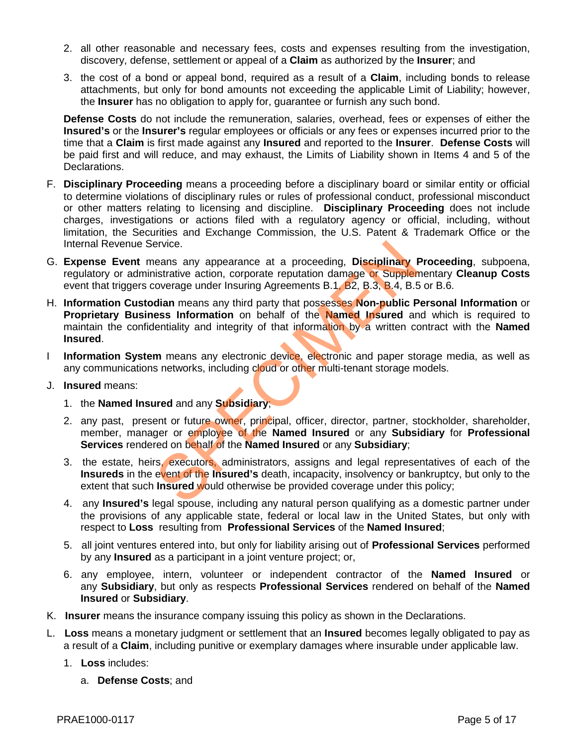- 2. all other reasonable and necessary fees, costs and expenses resulting from the investigation, discovery, defense, settlement or appeal of a **Claim** as authorized by the **Insurer**; and
- 3. the cost of a bond or appeal bond, required as a result of a **Claim**, including bonds to release attachments, but only for bond amounts not exceeding the applicable Limit of Liability; however, the **Insurer** has no obligation to apply for, guarantee or furnish any such bond.

**Defense Costs** do not include the remuneration, salaries, overhead, fees or expenses of either the **Insured's** or the **Insurer's** regular employees or officials or any fees or expenses incurred prior to the time that a **Claim** is first made against any **Insured** and reported to the **Insurer**. **Defense Costs** will be paid first and will reduce, and may exhaust, the Limits of Liability shown in Items 4 and 5 of the Declarations.

- F. **Disciplinary Proceeding** means a proceeding before a disciplinary board or similar entity or official to determine violations of disciplinary rules or rules of professional conduct, professional misconduct or other matters relating to licensing and discipline. **Disciplinary Proceeding** does not include charges, investigations or actions filed with a regulatory agency or official, including, without limitation, the Securities and Exchange Commission, the U.S. Patent & Trademark Office or the Internal Revenue Service.
- G. **Expense Event** means any appearance at a proceeding, **Disciplinary Proceeding**, subpoena, regulatory or administrative action, corporate reputation damage or Supplementary **Cleanup Costs**  event that triggers coverage under Insuring Agreements B.1, B2, B.3, B.4, B.5 or B.6.
- H. **Information Custodian** means any third party that possesses **Non-public Personal Information** or **Proprietary Business Information** on behalf of the **Named Insured** and which is required to maintain the confidentiality and integrity of that information by a written contract with the **Named Insured**. existe.<br>
Search any appearance at a proceeding, **Disciplinary** Instrative action, corporate reputation damage or Supplem<br>
Soverage under Insuring Agreements B.1, B2, B.3, B.4, B.5<br> **dian** means any third party that possess
- I **Information System** means any electronic device, electronic and paper storage media, as well as any communications networks, including cloud or other multi-tenant storage models.
- J. **Insured** means:
	- 1. the **Named Insured** and any **Subsidiary**;
	- 2. any past, present or future owner, principal, officer, director, partner, stockholder, shareholder, member, manager or employee of the **Named Insured** or any **Subsidiary** for **Professional Services** rendered on behalf of the **Named Insured** or any **Subsidiary**;
	- 3. the estate, heirs, executors, administrators, assigns and legal representatives of each of the **Insureds** in the event of the **Insured's** death, incapacity, insolvency or bankruptcy, but only to the extent that such **Insured** would otherwise be provided coverage under this policy;
	- 4. any **Insured's** legal spouse, including any natural person qualifying as a domestic partner under the provisions of any applicable state, federal or local law in the United States, but only with respect to **Loss** resulting from **Professional Services** of the **Named Insured**;
	- 5. all joint ventures entered into, but only for liability arising out of **Professional Services** performed by any **Insured** as a participant in a joint venture project; or,
	- 6. any employee, intern, volunteer or independent contractor of the **Named Insured** or any **Subsidiary**, but only as respects **Professional Services** rendered on behalf of the **Named Insured** or **Subsidiary**.
- K. **Insurer** means the insurance company issuing this policy as shown in the Declarations.
- L. **Loss** means a monetary judgment or settlement that an **Insured** becomes legally obligated to pay as a result of a **Claim**, including punitive or exemplary damages where insurable under applicable law.
	- 1. **Loss** includes:
		- a. **Defense Costs**; and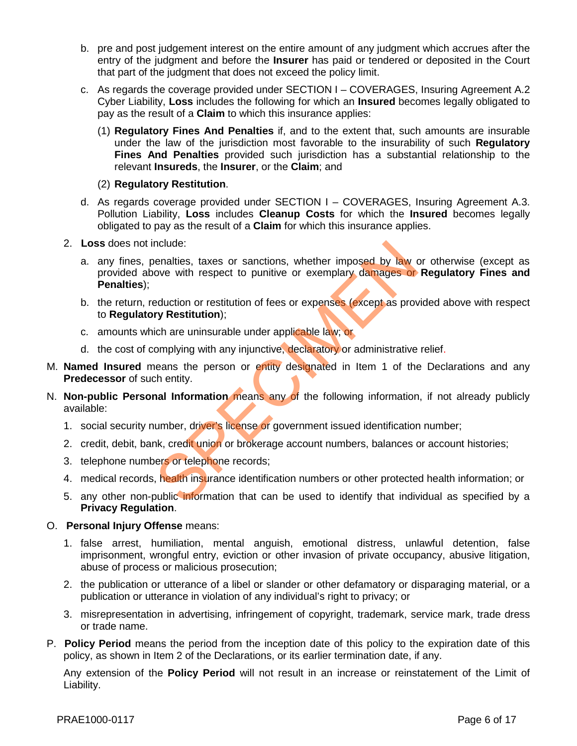- b. pre and post judgement interest on the entire amount of any judgment which accrues after the entry of the judgment and before the **Insurer** has paid or tendered or deposited in the Court that part of the judgment that does not exceed the policy limit.
- c. As regards the coverage provided under SECTION I COVERAGES, Insuring Agreement A.2 Cyber Liability, **Loss** includes the following for which an **Insured** becomes legally obligated to pay as the result of a **Claim** to which this insurance applies:
	- (1) **Regulatory Fines And Penalties** if, and to the extent that, such amounts are insurable under the law of the jurisdiction most favorable to the insurability of such **Regulatory Fines And Penalties** provided such jurisdiction has a substantial relationship to the relevant **Insureds**, the **Insurer**, or the **Claim**; and
	- (2) **Regulatory Restitution**.
- d. As regards coverage provided under SECTION I COVERAGES, Insuring Agreement A.3. Pollution Liability, **Loss** includes **Cleanup Costs** for which the **Insured** becomes legally obligated to pay as the result of a **Claim** for which this insurance applies.
- 2. **Loss** does not include:
	- a. any fines, penalties, taxes or sanctions, whether imposed by law or otherwise (except as provided above with respect to punitive or exemplary damages or **Regulatory Fines and Penalties**); nclude:<br>
	senalties, taxes or sanctions, whether imposed by law ove with respect to punitive or exemplary damages or<br>
	eduction or restitution);<br>
	ich are uninsurable under applicable law; or<br>
	omplying with any injunctive, de
	- b. the return, reduction or restitution of fees or expenses (except as provided above with respect to **Regulatory Restitution**);
	- c. amounts which are uninsurable under applicable law; or
	- d. the cost of complying with any injunctive, declaratory or administrative relief.
- M. **Named Insured** means the person or entity designated in Item 1 of the Declarations and any **Predecessor** of such entity.
- N. **Non-public Personal Information** means any of the following information, if not already publicly available:
	- 1. social security number, driver's license or government issued identification number;
	- 2. credit, debit, bank, credit union or brokerage account numbers, balances or account histories;
	- 3. telephone numbers or telephone records;
	- 4. medical records, health insurance identification numbers or other protected health information; or
	- 5. any other non-public information that can be used to identify that individual as specified by a **Privacy Regulation**.

#### O. **Personal Injury Offense** means:

- 1. false arrest, humiliation, mental anguish, emotional distress, unlawful detention, false imprisonment, wrongful entry, eviction or other invasion of private occupancy, abusive litigation, abuse of process or malicious prosecution;
- 2. the publication or utterance of a libel or slander or other defamatory or disparaging material, or a publication or utterance in violation of any individual's right to privacy; or
- 3. misrepresentation in advertising, infringement of copyright, trademark, service mark, trade dress or trade name.
- P. **Policy Period** means the period from the inception date of this policy to the expiration date of this policy, as shown in Item 2 of the Declarations, or its earlier termination date, if any.

Any extension of the **Policy Period** will not result in an increase or reinstatement of the Limit of Liability.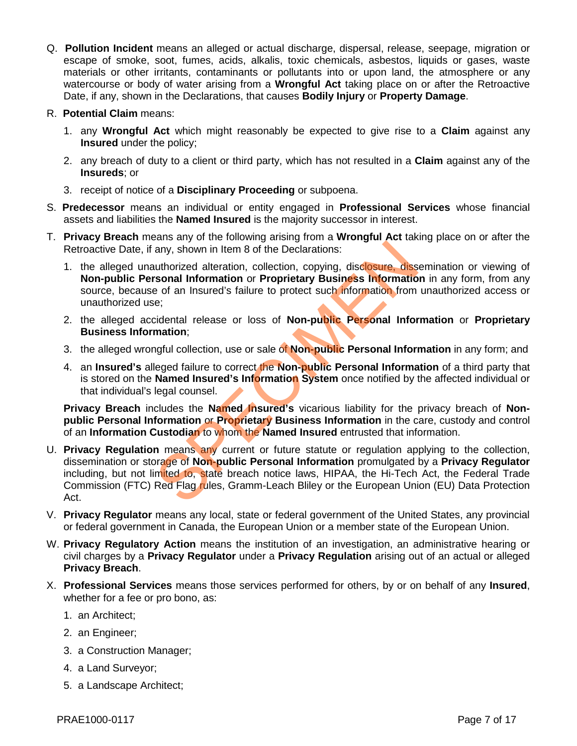- Q. **Pollution Incident** means an alleged or actual discharge, dispersal, release, seepage, migration or escape of smoke, soot, fumes, acids, alkalis, toxic chemicals, asbestos, liquids or gases, waste materials or other irritants, contaminants or pollutants into or upon land, the atmosphere or any watercourse or body of water arising from a **Wrongful Act** taking place on or after the Retroactive Date, if any, shown in the Declarations, that causes **Bodily Injury** or **Property Damage**.
- R. **Potential Claim** means:
	- 1. any **Wrongful Act** which might reasonably be expected to give rise to a **Claim** against any **Insured** under the policy;
	- 2. any breach of duty to a client or third party, which has not resulted in a **Claim** against any of the **Insureds**; or
	- 3. receipt of notice of a **Disciplinary Proceeding** or subpoena.
- S. **Predecessor** means an individual or entity engaged in **Professional Services** whose financial assets and liabilities the **Named Insured** is the majority successor in interest.
- T. **Privacy Breach** means any of the following arising from a **Wrongful Act** taking place on or after the Retroactive Date, if any, shown in Item 8 of the Declarations:
	- 1. the alleged unauthorized alteration, collection, copying, disclosure, dissemination or viewing of **Non-public Personal Information** or **Proprietary Business Information** in any form, from any source, because of an Insured's failure to protect such information from unauthorized access or unauthorized use;
	- 2. the alleged accidental release or loss of **Non-public Personal Information** or **Proprietary Business Information**;
	- 3. the alleged wrongful collection, use or sale of **Non-public Personal Information** in any form; and
	- 4. an **Insured's** alleged failure to correct the **Non-public Personal Information** of a third party that is stored on the **Named Insured's Information System** once notified by the affected individual or that individual's legal counsel.

**Privacy Breach** includes the **Named Insured's** vicarious liability for the privacy breach of **Nonpublic Personal Information** or **Proprietary Business Information** in the care, custody and control of an **Information Custodian** to whom the **Named Insured** entrusted that information.

- U. **Privacy Regulation** means any current or future statute or regulation applying to the collection, dissemination or storage of **Non-public Personal Information** promulgated by a **Privacy Regulator** including, but not limited to, state breach notice laws, HIPAA, the Hi-Tech Act, the Federal Trade Commission (FTC) Red Flag rules, Gramm-Leach Bliley or the European Union (EU) Data Protection Act. any, shown in Item 8 of the Declarations:<br>
uuthorized alteration, collection, copying, disclosure, diss<br>
sonal Information or Proprietary Business Information<br>
e:<br>
cidental release or loss of Non-public Personal Informatio
- V. **Privacy Regulator** means any local, state or federal government of the United States, any provincial or federal government in Canada, the European Union or a member state of the European Union.
- W. **Privacy Regulatory Action** means the institution of an investigation, an administrative hearing or civil charges by a **Privacy Regulator** under a **Privacy Regulation** arising out of an actual or alleged **Privacy Breach**.
- X. **Professional Services** means those services performed for others, by or on behalf of any **Insured**, whether for a fee or pro bono, as:
	- 1. an Architect;
	- 2. an Engineer;
	- 3. a Construction Manager;
	- 4. a Land Surveyor;
	- 5. a Landscape Architect;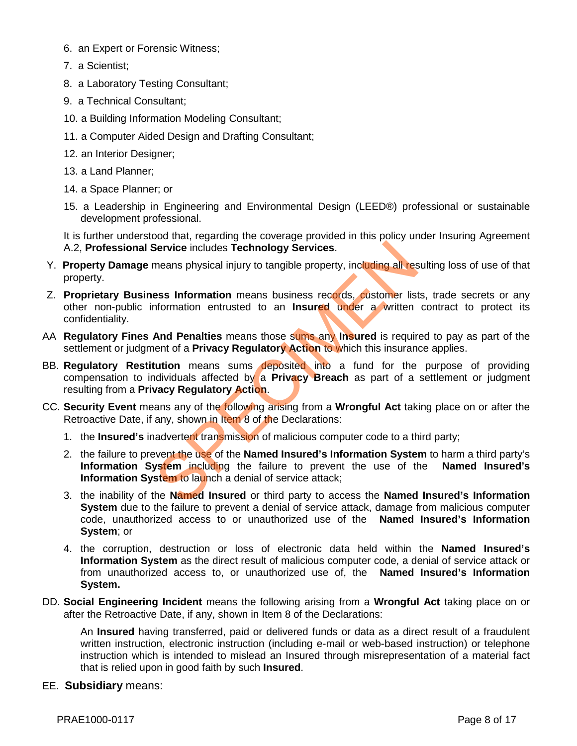- 6. an Expert or Forensic Witness;
- 7. a Scientist;
- 8. a Laboratory Testing Consultant;
- 9. a Technical Consultant;
- 10. a Building Information Modeling Consultant;
- 11. a Computer Aided Design and Drafting Consultant;
- 12. an Interior Designer;
- 13. a Land Planner;
- 14. a Space Planner; or
- 15. a Leadership in Engineering and Environmental Design (LEED®) professional or sustainable development professional.

It is further understood that, regarding the coverage provided in this policy under Insuring Agreement A.2, **Professional Service** includes **Technology Services**.

- Y. **Property Damage** means physical injury to tangible property, including all resulting loss of use of that property.
- Z. **Proprietary Business Information** means business records, customer lists, trade secrets or any other non-public information entrusted to an **Insured** under a written contract to protect its confidentiality.
- AA **Regulatory Fines And Penalties** means those sums any **Insured** is required to pay as part of the settlement or judgment of a **Privacy Regulatory Action** to which this insurance applies.
- BB. **Regulatory Restitution** means sums deposited into a fund for the purpose of providing compensation to individuals affected by a **Privacy Breach** as part of a settlement or judgment resulting from a **Privacy Regulatory Action**.
- CC. **Security Event** means any of the following arising from a **Wrongful Act** taking place on or after the Retroactive Date, if any, shown in Item 8 of the Declarations:
	- 1. the **Insured's** inadvertent transmission of malicious computer code to a third party;
- 2. the failure to prevent the use of the **Named Insured's Information System** to harm a third party's **Information System** including the failure to prevent the use of the **Named Insured's Information System** to launch a denial of service attack; Service includes Technology Services.<br>
means physical injury to tangible property, including all res<br>
ess Information means business records, customer list<br>
information entrusted to an Insured under a written<br>
And Penaltie
	- 3. the inability of the **Named Insured** or third party to access the **Named Insured's Information System** due to the failure to prevent a denial of service attack, damage from malicious computer code, unauthorized access to or unauthorized use of the **Named Insured's Information System**; or
	- 4. the corruption, destruction or loss of electronic data held within the **Named Insured's Information System** as the direct result of malicious computer code, a denial of service attack or from unauthorized access to, or unauthorized use of, the **Named Insured's Information System.**
- DD. **Social Engineering Incident** means the following arising from a **Wrongful Act** taking place on or after the Retroactive Date, if any, shown in Item 8 of the Declarations:

An **Insured** having transferred, paid or delivered funds or data as a direct result of a fraudulent written instruction, electronic instruction (including e-mail or web-based instruction) or telephone instruction which is intended to mislead an Insured through misrepresentation of a material fact that is relied upon in good faith by such **Insured**.

EE. **Subsidiary** means: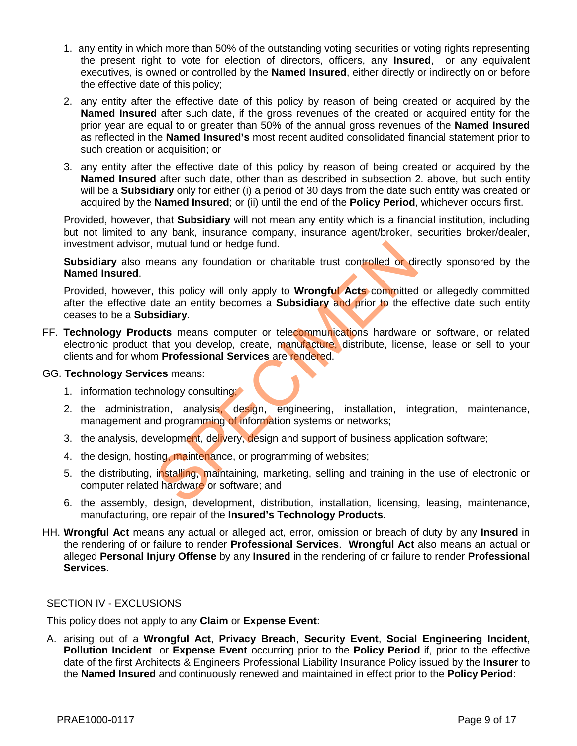- 1. any entity in which more than 50% of the outstanding voting securities or voting rights representing the present right to vote for election of directors, officers, any **Insured**, or any equivalent executives, is owned or controlled by the **Named Insured**, either directly or indirectly on or before the effective date of this policy;
- 2. any entity after the effective date of this policy by reason of being created or acquired by the **Named Insured** after such date, if the gross revenues of the created or acquired entity for the prior year are equal to or greater than 50% of the annual gross revenues of the **Named Insured** as reflected in the **Named Insured's** most recent audited consolidated financial statement prior to such creation or acquisition; or
- 3. any entity after the effective date of this policy by reason of being created or acquired by the **Named Insured** after such date, other than as described in subsection 2. above, but such entity will be a **Subsidiary** only for either (i) a period of 30 days from the date such entity was created or acquired by the **Named Insured**; or (ii) until the end of the **Policy Period**, whichever occurs first.

Provided, however, that **Subsidiary** will not mean any entity which is a financial institution, including but not limited to any bank, insurance company, insurance agent/broker, securities broker/dealer, investment advisor, mutual fund or hedge fund.

**Subsidiary** also means any foundation or charitable trust controlled or directly sponsored by the **Named Insured**.

Provided, however, this policy will only apply to **Wrongful Acts** committed or allegedly committed after the effective date an entity becomes a **Subsidiary** and prior to the effective date such entity ceases to be a **Subsidiary**. mutual fund or hedge fund.<br>
eans any foundation or charitable trust controlled or di<br>
this policy will only apply to **Wrongful Acts committed**<br>
date an entity becomes a **Subsidiary and prior to** the et<br> **sidiary.**<br> **LCCS**

FF. **Technology Products** means computer or telecommunications hardware or software, or related electronic product that you develop, create, manufacture, distribute, license, lease or sell to your clients and for whom **Professional Services** are rendered.

#### GG. **Technology Services** means:

- 1. information technology consulting;
- 2. the administration, analysis, design, engineering, installation, integration, maintenance, management and programming of information systems or networks;
- 3. the analysis, development, delivery, design and support of business application software;
- 4. the design, hosting, maintenance, or programming of websites;
- 5. the distributing, installing, maintaining, marketing, selling and training in the use of electronic or computer related hardware or software; and
- 6. the assembly, design, development, distribution, installation, licensing, leasing, maintenance, manufacturing, ore repair of the **Insured's Technology Products**.
- HH. **Wrongful Act** means any actual or alleged act, error, omission or breach of duty by any **Insured** in the rendering of or failure to render **Professional Services**. **Wrongful Act** also means an actual or alleged **Personal Injury Offense** by any **Insured** in the rendering of or failure to render **Professional Services**.

#### SECTION IV - EXCLUSIONS

This policy does not apply to any **Claim** or **Expense Event**:

A. arising out of a **Wrongful Act**, **Privacy Breach**, **Security Event**, **Social Engineering Incident**, **Pollution Incident** or **Expense Event** occurring prior to the **Policy Period** if, prior to the effective date of the first Architects & Engineers Professional Liability Insurance Policy issued by the **Insurer** to the **Named Insured** and continuously renewed and maintained in effect prior to the **Policy Period**: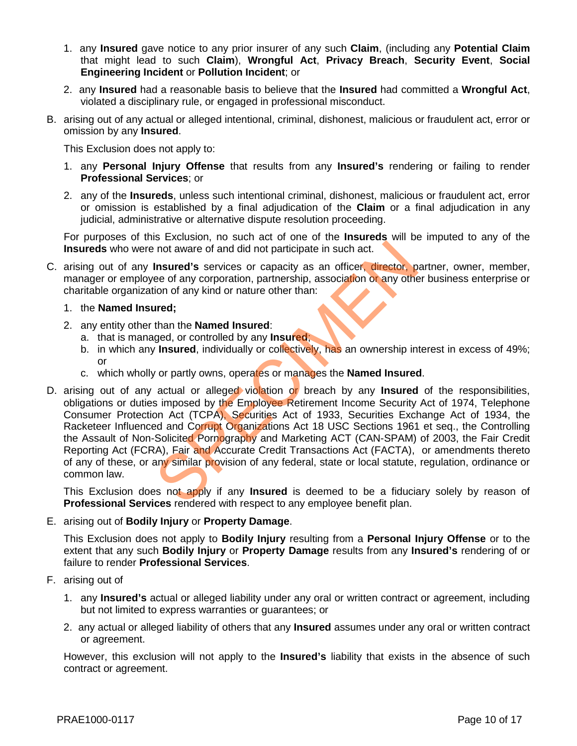- 1. any **Insured** gave notice to any prior insurer of any such **Claim**, (including any **Potential Claim** that might lead to such **Claim**), **Wrongful Act**, **Privacy Breach**, **Security Event**, **Social Engineering Incident** or **Pollution Incident**; or
- 2. any **Insured** had a reasonable basis to believe that the **Insured** had committed a **Wrongful Act**, violated a disciplinary rule, or engaged in professional misconduct.
- B. arising out of any actual or alleged intentional, criminal, dishonest, malicious or fraudulent act, error or omission by any **Insured**.

This Exclusion does not apply to:

- 1. any **Personal Injury Offense** that results from any **Insured's** rendering or failing to render **Professional Services**; or
- 2. any of the **Insureds**, unless such intentional criminal, dishonest, malicious or fraudulent act, error or omission is established by a final adjudication of the **Claim** or a final adjudication in any judicial, administrative or alternative dispute resolution proceeding.

For purposes of this Exclusion, no such act of one of the **Insureds** will be imputed to any of the **Insureds** who were not aware of and did not participate in such act.

- C. arising out of any **Insured's** services or capacity as an officer, director, partner, owner, member, manager or employee of any corporation, partnership, association or any other business enterprise or charitable organization of any kind or nature other than:
	- 1. the **Named Insured;**
	- 2. any entity other than the **Named Insured**:
		- a. that is managed, or controlled by any **Insured**;
		- b. in which any **Insured**, individually or collectively, has an ownership interest in excess of 49%; or
		- c. which wholly or partly owns, operates or manages the **Named Insured**.
- D. arising out of any actual or alleged violation or breach by any **Insured** of the responsibilities, obligations or duties imposed by the Employee Retirement Income Security Act of 1974, Telephone Consumer Protection Act (TCPA), Securities Act of 1933, Securities Exchange Act of 1934, the Racketeer Influenced and Corrupt Organizations Act 18 USC Sections 1961 et seq., the Controlling the Assault of Non-Solicited Pornography and Marketing ACT (CAN-SPAM) of 2003, the Fair Credit Reporting Act (FCRA), Fair and Accurate Credit Transactions Act (FACTA), or amendments thereto of any of these, or any similar provision of any federal, state or local statute, regulation, ordinance or common law. not aware of and did not participate in such act.<br>
Insured's services or capacity as an officer, director, p<br>
ee of any corporation, partnership, association or any othe<br>
ion of any kind or nature other than:<br>
ured;<br>
than

This Exclusion does not apply if any **Insured** is deemed to be a fiduciary solely by reason of **Professional Services** rendered with respect to any employee benefit plan.

#### E. arising out of **Bodily Injury** or **Property Damage**.

This Exclusion does not apply to **Bodily Injury** resulting from a **Personal Injury Offense** or to the extent that any such **Bodily Injury** or **Property Damage** results from any **Insured's** rendering of or failure to render **Professional Services**.

- F. arising out of
	- 1. any **Insured's** actual or alleged liability under any oral or written contract or agreement, including but not limited to express warranties or guarantees; or
	- 2. any actual or alleged liability of others that any **Insured** assumes under any oral or written contract or agreement.

However, this exclusion will not apply to the **Insured's** liability that exists in the absence of such contract or agreement.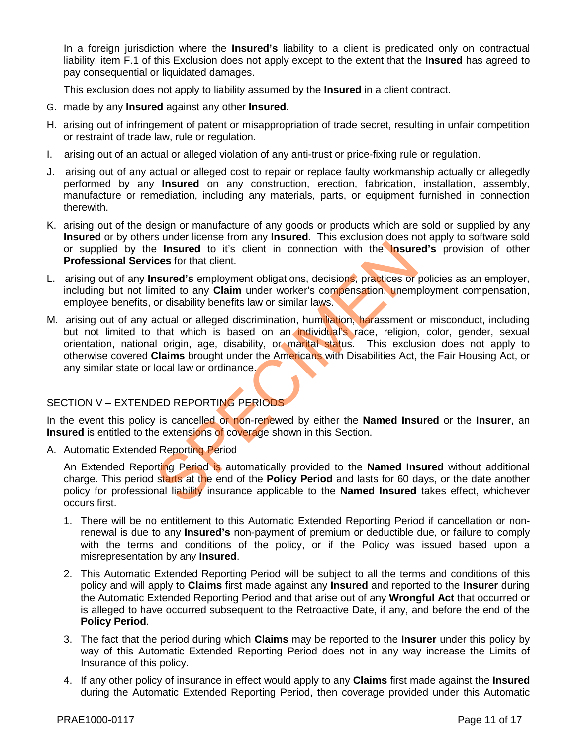In a foreign jurisdiction where the **Insured's** liability to a client is predicated only on contractual liability, item F.1 of this Exclusion does not apply except to the extent that the **Insured** has agreed to pay consequential or liquidated damages.

This exclusion does not apply to liability assumed by the **Insured** in a client contract.

- G. made by any **Insured** against any other **Insured**.
- H. arising out of infringement of patent or misappropriation of trade secret, resulting in unfair competition or restraint of trade law, rule or regulation.
- I. arising out of an actual or alleged violation of any anti-trust or price-fixing rule or regulation.
- J. arising out of any actual or alleged cost to repair or replace faulty workmanship actually or allegedly performed by any **Insured** on any construction, erection, fabrication, installation, assembly, manufacture or remediation, including any materials, parts, or equipment furnished in connection therewith.
- K. arising out of the design or manufacture of any goods or products which are sold or supplied by any **Insured** or by others under license from any **Insured**. This exclusion does not apply to software sold or supplied by the **Insured** to it's client in connection with the **Insured's** provision of other **Professional Services** for that client.
- L. arising out of any **Insured's** employment obligations, decisions, practices or policies as an employer, including but not limited to any **Claim** under worker's compensation, unemployment compensation, employee benefits, or disability benefits law or similar laws.
- M. arising out of any actual or alleged discrimination, humiliation, harassment or misconduct, including but not limited to that which is based on an individual's race, religion, color, gender, sexual orientation, national origin, age, disability, or marital status. This exclusion does not apply to otherwise covered **Claims** brought under the Americans with Disabilities Act, the Fair Housing Act, or any similar state or local law or ordinance. For the Unit of the Named Instants at the end of the Compaction and liability insurance applicable to the Named Instituted to any Claim under worker's compensation, unemption of disability benefits law or similar laws.<br>
Ac

# SECTION V – EXTENDED REPORTING PERIODS

In the event this policy is cancelled or non-renewed by either the **Named Insured** or the **Insurer**, an **Insured** is entitled to the extensions of coverage shown in this Section.

A. Automatic Extended Reporting Period

An Extended Reporting Period is automatically provided to the **Named Insured** without additional charge. This period starts at the end of the **Policy Period** and lasts for 60 days, or the date another policy for professional liability insurance applicable to the **Named Insured** takes effect, whichever occurs first.

- 1. There will be no entitlement to this Automatic Extended Reporting Period if cancellation or nonrenewal is due to any **Insured's** non-payment of premium or deductible due, or failure to comply with the terms and conditions of the policy, or if the Policy was issued based upon a misrepresentation by any **Insured**.
- 2. This Automatic Extended Reporting Period will be subject to all the terms and conditions of this policy and will apply to **Claims** first made against any **Insured** and reported to the **Insurer** during the Automatic Extended Reporting Period and that arise out of any **Wrongful Act** that occurred or is alleged to have occurred subsequent to the Retroactive Date, if any, and before the end of the **Policy Period**.
- 3. The fact that the period during which **Claims** may be reported to the **Insurer** under this policy by way of this Automatic Extended Reporting Period does not in any way increase the Limits of Insurance of this policy.
- 4. If any other policy of insurance in effect would apply to any **Claims** first made against the **Insured** during the Automatic Extended Reporting Period, then coverage provided under this Automatic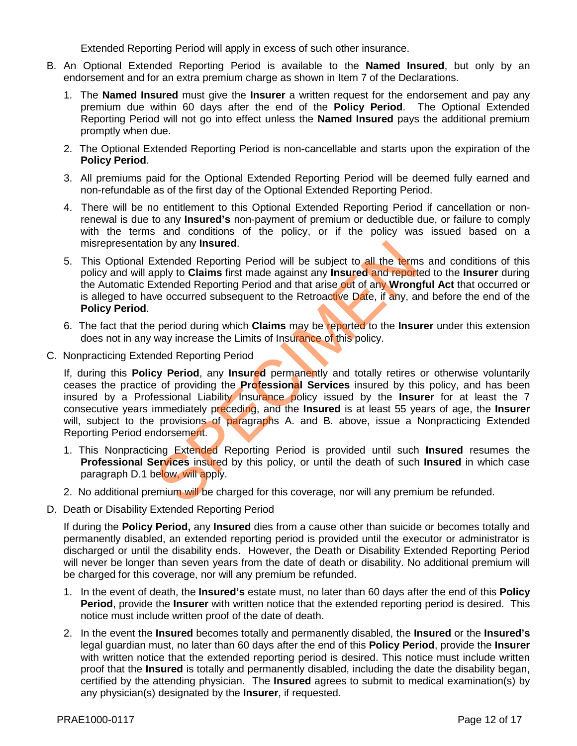Extended Reporting Period will apply in excess of such other insurance.

- B. An Optional Extended Reporting Period is available to the **Named Insured**, but only by an endorsement and for an extra premium charge as shown in Item 7 of the Declarations.
	- 1. The **Named Insured** must give the **Insurer** a written request for the endorsement and pay any premium due within 60 days after the end of the **Policy Period**. The Optional Extended Reporting Period will not go into effect unless the **Named Insured** pays the additional premium promptly when due.
	- 2. The Optional Extended Reporting Period is non-cancellable and starts upon the expiration of the **Policy Period**.
	- 3. All premiums paid for the Optional Extended Reporting Period will be deemed fully earned and non-refundable as of the first day of the Optional Extended Reporting Period.
	- 4. There will be no entitlement to this Optional Extended Reporting Period if cancellation or nonrenewal is due to any **Insured's** non-payment of premium or deductible due, or failure to comply with the terms and conditions of the policy, or if the policy was issued based on a misrepresentation by any **Insured**.
	- 5. This Optional Extended Reporting Period will be subject to all the terms and conditions of this policy and will apply to **Claims** first made against any **Insured** and reported to the **Insurer** during the Automatic Extended Reporting Period and that arise out of any **Wrongful Act** that occurred or is alleged to have occurred subsequent to the Retroactive Date, if any, and before the end of the **Policy Period**.
	- 6. The fact that the period during which **Claims** may be reported to the **Insurer** under this extension does not in any way increase the Limits of Insurance of this policy.
- C. Nonpracticing Extended Reporting Period

If, during this **Policy Period**, any **Insured** permanently and totally retires or otherwise voluntarily ceases the practice of providing the **Professional Services** insured by this policy, and has been insured by a Professional Liability Insurance policy issued by the **Insurer** for at least the 7 consecutive years immediately preceding, and the **Insured** is at least 55 years of age, the **Insurer** will, subject to the provisions of paragraphs A. and B. above, issue a Nonpracticing Extended Reporting Period endorsement. In by any **Insured**.<br>
Sixtended Reporting Period will be subject to all the term<br>
pply to **Claims** first made against any **Insured and report**<br>
xtended Reporting Period and that arise out of any Wrong<br>
ve occurred subseque

- 1. This Nonpracticing Extended Reporting Period is provided until such **Insured** resumes the **Professional Services** insured by this policy, or until the death of such **Insured** in which case paragraph D.1 below, will apply.
- 2. No additional premium will be charged for this coverage, nor will any premium be refunded.
- D. Death or Disability Extended Reporting Period

If during the **Policy Period,** any **Insured** dies from a cause other than suicide or becomes totally and permanently disabled, an extended reporting period is provided until the executor or administrator is discharged or until the disability ends. However, the Death or Disability Extended Reporting Period will never be longer than seven years from the date of death or disability. No additional premium will be charged for this coverage, nor will any premium be refunded.

- 1. In the event of death, the **Insured's** estate must, no later than 60 days after the end of this **Policy Period**, provide the **Insurer** with written notice that the extended reporting period is desired. This notice must include written proof of the date of death.
- 2. In the event the **Insured** becomes totally and permanently disabled, the **Insured** or the **Insured's** legal guardian must, no later than 60 days after the end of this **Policy Period**, provide the **Insurer** with written notice that the extended reporting period is desired. This notice must include written proof that the **Insured** is totally and permanently disabled, including the date the disability began, certified by the attending physician. The **Insured** agrees to submit to medical examination(s) by any physician(s) designated by the **Insurer**, if requested.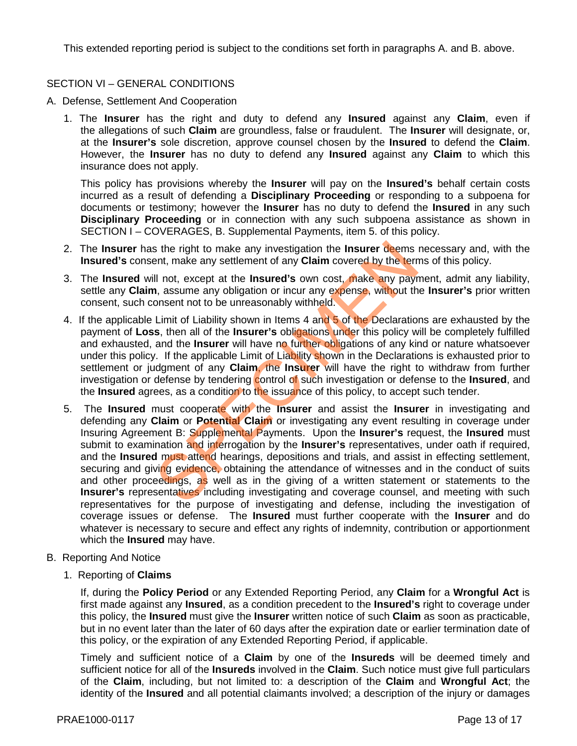This extended reporting period is subject to the conditions set forth in paragraphs A. and B. above.

# SECTION VI – GENERAL CONDITIONS

- A. Defense, Settlement And Cooperation
	- 1. The **Insurer** has the right and duty to defend any **Insured** against any **Claim**, even if the allegations of such **Claim** are groundless, false or fraudulent. The **Insurer** will designate, or, at the **Insurer's** sole discretion, approve counsel chosen by the **Insured** to defend the **Claim**. However, the **Insurer** has no duty to defend any **Insured** against any **Claim** to which this insurance does not apply.

This policy has provisions whereby the **Insurer** will pay on the **Insured's** behalf certain costs incurred as a result of defending a **Disciplinary Proceeding** or responding to a subpoena for documents or testimony; however the **Insurer** has no duty to defend the **Insured** in any such **Disciplinary Proceeding** or in connection with any such subpoena assistance as shown in SECTION I – COVERAGES, B. Supplemental Payments, item 5. of this policy.

- 2. The **Insurer** has the right to make any investigation the **Insurer** deems necessary and, with the **Insured's** consent, make any settlement of any **Claim** covered by the terms of this policy.
- 3. The **Insured** will not, except at the **Insured's** own cost, make any payment, admit any liability, settle any **Claim**, assume any obligation or incur any expense, without the **Insurer's** prior written consent, such consent not to be unreasonably withheld.
- 4. If the applicable Limit of Liability shown in Items 4 and 5 of the Declarations are exhausted by the payment of **Loss**, then all of the **Insurer's** obligations under this policy will be completely fulfilled and exhausted, and the **Insurer** will have no further obligations of any kind or nature whatsoever under this policy. If the applicable Limit of Liability shown in the Declarations is exhausted prior to settlement or judgment of any **Claim**, the **Insurer** will have the right to withdraw from further investigation or defense by tendering control of such investigation or defense to the **Insured**, and the **Insured** agrees, as a condition to the issuance of this policy, to accept such tender.
- 5. The **Insured** must cooperate with the **Insurer** and assist the **Insurer** in investigating and defending any **Claim** or **Potential Claim** or investigating any event resulting in coverage under Insuring Agreement B: Supplemental Payments. Upon the **Insurer's** request, the **Insured** must submit to examination and interrogation by the **Insurer's** representatives, under oath if required, and the **Insured** must attend hearings, depositions and trials, and assist in effecting settlement, securing and giving evidence, obtaining the attendance of witnesses and in the conduct of suits and other proceedings, as well as in the giving of a written statement or statements to the **Insurer's** representatives including investigating and coverage counsel, and meeting with such representatives for the purpose of investigating and defense, including the investigation of coverage issues or defense. The **Insured** must further cooperate with the **Insurer** and do whatever is necessary to secure and effect any rights of indemnity, contribution or apportionment which the **Insured** may have. is the right to make any investigation the **Insurer deems**<br>ent, make any settlement of any **Claim** covered by the term<br>if not, except at the **Insured's** own cost, make any payr<br>i, assume any obligation or incur any expense
- B. Reporting And Notice
	- 1.Reporting of **Claims**

If, during the **Policy Period** or any Extended Reporting Period, any **Claim** for a **Wrongful Act** is first made against any **Insured**, as a condition precedent to the **Insured's** right to coverage under this policy, the **Insured** must give the **Insurer** written notice of such **Claim** as soon as practicable, but in no event later than the later of 60 days after the expiration date or earlier termination date of this policy, or the expiration of any Extended Reporting Period, if applicable.

Timely and sufficient notice of a **Claim** by one of the **Insureds** will be deemed timely and sufficient notice for all of the **Insureds** involved in the **Claim**. Such notice must give full particulars of the **Claim**, including, but not limited to: a description of the **Claim** and **Wrongful Act**; the identity of the **Insured** and all potential claimants involved; a description of the injury or damages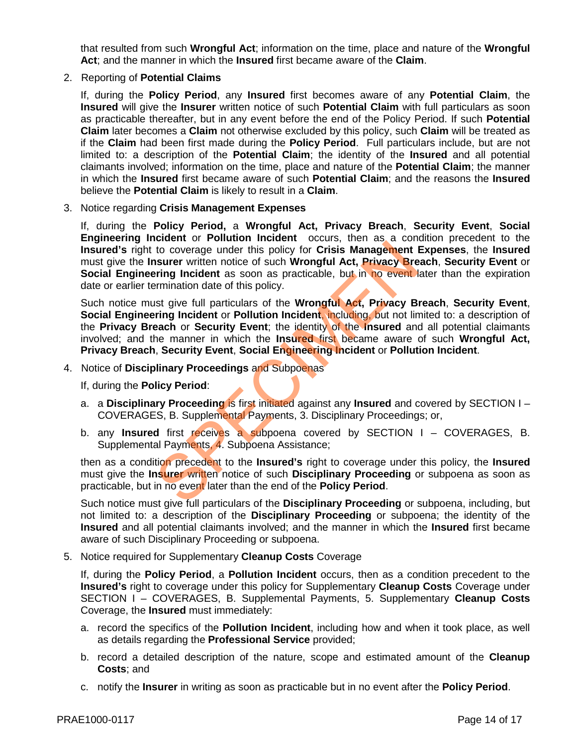that resulted from such **Wrongful Act**; information on the time, place and nature of the **Wrongful Act**; and the manner in which the **Insured** first became aware of the **Claim**.

2. Reporting of **Potential Claims**

If, during the **Policy Period**, any **Insured** first becomes aware of any **Potential Claim**, the **Insured** will give the **Insurer** written notice of such **Potential Claim** with full particulars as soon as practicable thereafter, but in any event before the end of the Policy Period. If such **Potential Claim** later becomes a **Claim** not otherwise excluded by this policy, such **Claim** will be treated as if the **Claim** had been first made during the **Policy Period**. Full particulars include, but are not limited to: a description of the **Potential Claim**; the identity of the **Insured** and all potential claimants involved; information on the time, place and nature of the **Potential Claim**; the manner in which the **Insured** first became aware of such **Potential Claim**; and the reasons the **Insured** believe the **Potential Claim** is likely to result in a **Claim**.

3. Notice regarding **Crisis Management Expenses**

If, during the **Policy Period,** a **Wrongful Act, Privacy Breach**, **Security Event**, **Social Engineering Incident** or **Pollution Incident** occurs, then as a condition precedent to the **Insured's** right to coverage under this policy for **Crisis Management Expenses**, the **Insured** must give the **Insurer** written notice of such **Wrongful Act, Privacy Breach**, **Security Event** or **Social Engineering Incident** as soon as practicable, but in no event later than the expiration date or earlier termination date of this policy.

Such notice must give full particulars of the **Wrongful Act, Privacy Breach**, **Security Event**, **Social Engineering Incident** or **Pollution Incident**, including, but not limited to: a description of the **Privacy Breach** or **Security Event**; the identity of the **Insured** and all potential claimants involved; and the manner in which the **Insured** first became aware of such **Wrongful Act, Privacy Breach**, **Security Event**, **Social Engineering Incident** or **Pollution Incident**. to coverage under this policy for Crisis Management I<br>to coverage under this policy for Crisis Management I<br>surer written notice of such Wrongful Act, Privacy Bre<br>rring Incident as soon as practicable, but in no event I<br>st

4. Notice of **Disciplinary Proceedings** and Subpoenas

If, during the **Policy Period**:

- a. a **Disciplinary Proceeding** is first initiated against any **Insured** and covered by SECTION I COVERAGES, B. Supplemental Payments, 3. Disciplinary Proceedings; or,
- b. any **Insured** first receives a subpoena covered by SECTION I COVERAGES, B. Supplemental Payments, 4. Subpoena Assistance;

then as a condition precedent to the **Insured's** right to coverage under this policy, the **Insured** must give the **Insurer** written notice of such **Disciplinary Proceeding** or subpoena as soon as practicable, but in no event later than the end of the **Policy Period**.

Such notice must give full particulars of the **Disciplinary Proceeding** or subpoena, including, but not limited to: a description of the **Disciplinary Proceeding** or subpoena; the identity of the **Insured** and all potential claimants involved; and the manner in which the **Insured** first became aware of such Disciplinary Proceeding or subpoena.

5. Notice required for Supplementary **Cleanup Costs** Coverage

If, during the **Policy Period**, a **Pollution Incident** occurs, then as a condition precedent to the **Insured's** right to coverage under this policy for Supplementary **Cleanup Costs** Coverage under SECTION I – COVERAGES, B. Supplemental Payments, 5. Supplementary **Cleanup Costs** Coverage, the **Insured** must immediately:

- a. record the specifics of the **Pollution Incident**, including how and when it took place, as well as details regarding the **Professional Service** provided;
- b. record a detailed description of the nature, scope and estimated amount of the **Cleanup Costs**; and
- c. notify the **Insurer** in writing as soon as practicable but in no event after the **Policy Period**.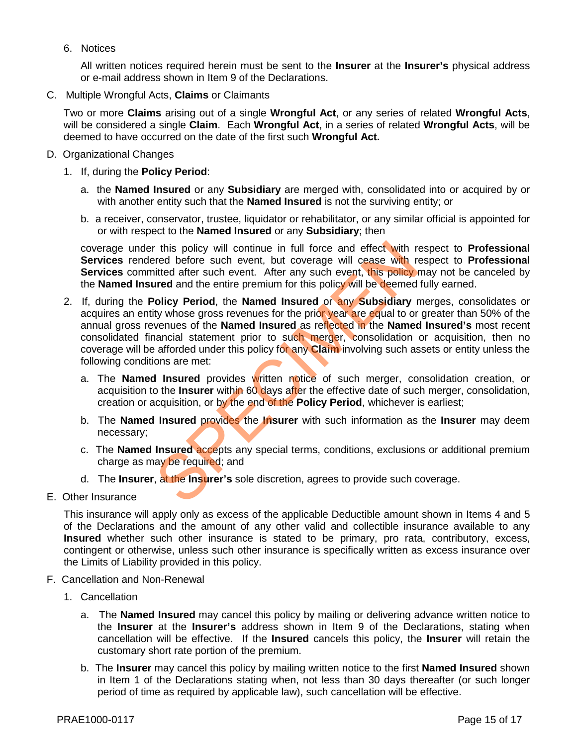6. Notices

All written notices required herein must be sent to the **Insurer** at the **Insurer's** physical address or e-mail address shown in Item 9 of the Declarations.

C. Multiple Wrongful Acts, **Claims** or Claimants

Two or more **Claims** arising out of a single **Wrongful Act**, or any series of related **Wrongful Acts**, will be considered a single **Claim**. Each **Wrongful Act**, in a series of related **Wrongful Acts**, will be deemed to have occurred on the date of the first such **Wrongful Act.**

- D. Organizational Changes
	- 1. If, during the **Policy Period**:
		- a. the **Named Insured** or any **Subsidiary** are merged with, consolidated into or acquired by or with another entity such that the **Named Insured** is not the surviving entity; or
		- b. a receiver, conservator, trustee, liquidator or rehabilitator, or any similar official is appointed for or with respect to the **Named Insured** or any **Subsidiary**; then

coverage under this policy will continue in full force and effect with respect to **Professional Services** rendered before such event, but coverage will cease with respect to **Professional Services** committed after such event. After any such event, this policy may not be canceled by the **Named Insured** and the entire premium for this policy will be deemed fully earned.

- 2. If, during the **Policy Period**, the **Named Insured** or any **Subsidiary** merges, consolidates or acquires an entity whose gross revenues for the prior year are equal to or greater than 50% of the annual gross revenues of the **Named Insured** as reflected in the **Named Insured's** most recent consolidated financial statement prior to such merger, consolidation or acquisition, then no coverage will be afforded under this policy for any **Claim** involving such assets or entity unless the following conditions are met: This policy will continue in full force and effect with reverd before such event, but coverage will cease with revert intited after such event. After any such event, this policy inted and the entire premium for this policy
	- a. The **Named Insured** provides written notice of such merger, consolidation creation, or acquisition to the **Insurer** within 60 days after the effective date of such merger, consolidation, creation or acquisition, or by the end of the **Policy Period**, whichever is earliest;
	- b. The **Named Insured** provides the **Insurer** with such information as the **Insurer** may deem necessary;
	- c. The **Named Insured** accepts any special terms, conditions, exclusions or additional premium charge as may be required; and
	- d. The **Insurer**, at the **Insurer's** sole discretion, agrees to provide such coverage.
- E. Other Insurance

This insurance will apply only as excess of the applicable Deductible amount shown in Items 4 and 5 of the Declarations and the amount of any other valid and collectible insurance available to any **Insured** whether such other insurance is stated to be primary, pro rata, contributory, excess, contingent or otherwise, unless such other insurance is specifically written as excess insurance over the Limits of Liability provided in this policy.

- F. Cancellation and Non-Renewal
	- 1. Cancellation
		- a. The **Named Insured** may cancel this policy by mailing or delivering advance written notice to the **Insurer** at the **Insurer's** address shown in Item 9 of the Declarations, stating when cancellation will be effective. If the **Insured** cancels this policy, the **Insurer** will retain the customary short rate portion of the premium.
		- b. The **Insurer** may cancel this policy by mailing written notice to the first **Named Insured** shown in Item 1 of the Declarations stating when, not less than 30 days thereafter (or such longer period of time as required by applicable law), such cancellation will be effective.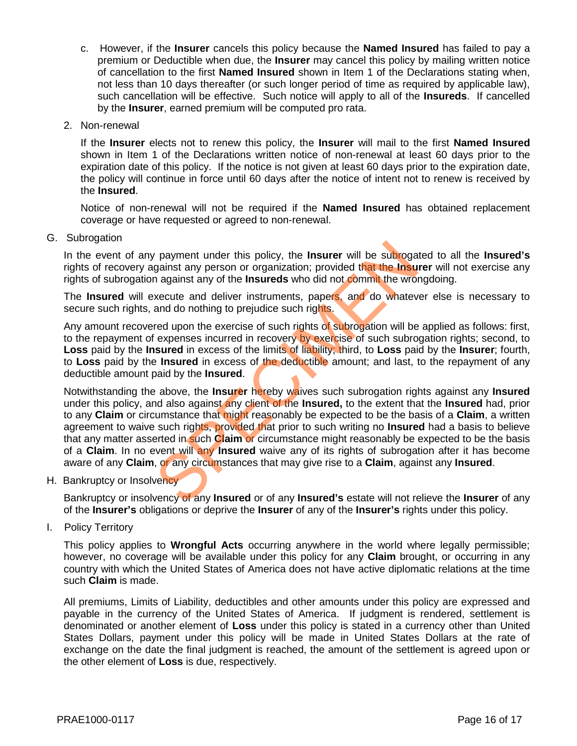- c. However, if the **Insurer** cancels this policy because the **Named Insured** has failed to pay a premium or Deductible when due, the **Insurer** may cancel this policy by mailing written notice of cancellation to the first **Named Insured** shown in Item 1 of the Declarations stating when, not less than 10 days thereafter (or such longer period of time as required by applicable law), such cancellation will be effective. Such notice will apply to all of the **Insureds**. If cancelled by the **Insurer**, earned premium will be computed pro rata.
- 2. Non-renewal

If the **Insurer** elects not to renew this policy, the **Insurer** will mail to the first **Named Insured** shown in Item 1 of the Declarations written notice of non-renewal at least 60 days prior to the expiration date of this policy. If the notice is not given at least 60 days prior to the expiration date, the policy will continue in force until 60 days after the notice of intent not to renew is received by the **Insured**.

Notice of non-renewal will not be required if the **Named Insured** has obtained replacement coverage or have requested or agreed to non-renewal.

G. Subrogation

In the event of any payment under this policy, the **Insurer** will be subrogated to all the **Insured's** rights of recovery against any person or organization; provided that the **Insurer** will not exercise any rights of subrogation against any of the **Insureds** who did not commit the wrongdoing.

The **Insured** will execute and deliver instruments, papers, and do whatever else is necessary to secure such rights, and do nothing to prejudice such rights.

Any amount recovered upon the exercise of such rights of subrogation will be applied as follows: first, to the repayment of expenses incurred in recovery by exercise of such subrogation rights; second, to **Loss** paid by the **Insured** in excess of the limits of liability; third, to **Loss** paid by the **Insurer**; fourth, to **Loss** paid by the **Insured** in excess of the deductible amount; and last, to the repayment of any deductible amount paid by the **Insured**.

Notwithstanding the above, the **Insurer** hereby waives such subrogation rights against any **Insured**  under this policy, and also against any client of the **Insured,** to the extent that the **Insured** had, prior to any **Claim** or circumstance that might reasonably be expected to be the basis of a **Claim**, a written agreement to waive such rights, provided that prior to such writing no **Insured** had a basis to believe that any matter asserted in such **Claim** or circumstance might reasonably be expected to be the basis of a **Claim**. In no event will any **Insured** waive any of its rights of subrogation after it has become aware of any **Claim**, or any circumstances that may give rise to a **Claim**, against any **Insured**. r payment under this policy, the **Insurer** will be subroga<br>gainst any person or organization; provided that the **Insu**<br>n against any of the **Insureds** who did not commit the wron<br>xecute and deliver instruments, papers, and

H. Bankruptcy or Insolvency

Bankruptcy or insolvency of any **Insured** or of any **Insured's** estate will not relieve the **Insurer** of any of the **Insurer's** obligations or deprive the **Insurer** of any of the **Insurer's** rights under this policy.

I. Policy Territory

This policy applies to **Wrongful Acts** occurring anywhere in the world where legally permissible; however, no coverage will be available under this policy for any **Claim** brought, or occurring in any country with which the United States of America does not have active diplomatic relations at the time such **Claim** is made.

All premiums, Limits of Liability, deductibles and other amounts under this policy are expressed and payable in the currency of the United States of America. If judgment is rendered, settlement is denominated or another element of **Loss** under this policy is stated in a currency other than United States Dollars, payment under this policy will be made in United States Dollars at the rate of exchange on the date the final judgment is reached, the amount of the settlement is agreed upon or the other element of **Loss** is due, respectively.